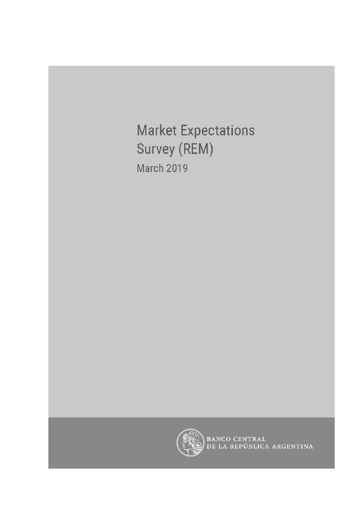**Market Expectations** Survey (REM) **March 2019** 



BANCO CENTRAL<br>DE LA REPÚBLICA ARGENTINA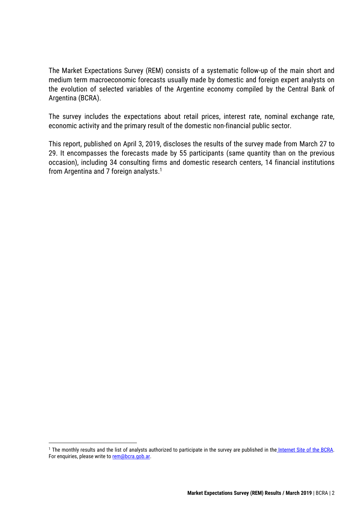The Market Expectations Survey (REM) consists of a systematic follow-up of the main short and medium term macroeconomic forecasts usually made by domestic and foreign expert analysts on the evolution of selected variables of the Argentine economy compiled by the Central Bank of Argentina (BCRA).

The survey includes the expectations about retail prices, interest rate, nominal exchange rate, economic activity and the primary result of the domestic non-financial public sector.

This report, published on April 3, 2019, discloses the results of the survey made from March 27 to 29. It encompasses the forecasts made by 55 participants (same quantity than on the previous occasion), including 34 consulting firms and domestic research centers, 14 financial institutions from Argentina and 7 foreign analysts. 1

<sup>&</sup>lt;sup>1</sup> The monthly results and the list of analysts authorized to participate in the survey are published in the [Internet Site of the BCRA.](http://www.bcra.gob.ar/PublicacionesEstadisticas/Relevamiento_Expectativas_de_Mercado.asp) For enquiries, please write to [rem@bcra.gob.ar.](mailto:rem@bcra.gob.ar)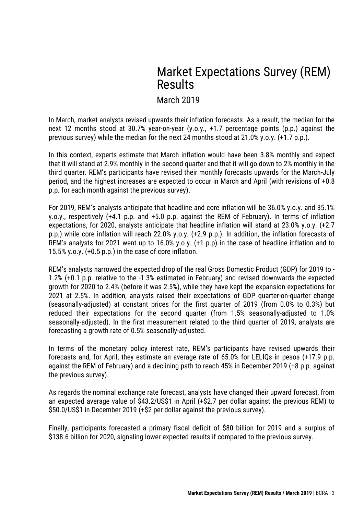# Market Expectations Survey (REM) Results

### March 2019

In March, market analysts revised upwards their inflation forecasts. As a result, the median for the next 12 months stood at 30.7% year-on-year (y.o.y., +1.7 percentage points (p.p.) against the previous survey) while the median for the next 24 months stood at 21.0% y.o.y. (+1.7 p.p.).

In this context, experts estimate that March inflation would have been 3.8% monthly and expect that it will stand at 2.9% monthly in the second quarter and that it will go down to 2% monthly in the third quarter. REM's participants have revised their monthly forecasts upwards for the March-July period, and the highest increases are expected to occur in March and April (with revisions of +0.8 p.p. for each month against the previous survey).

For 2019, REM's analysts anticipate that headline and core inflation will be 36.0% y.o.y. and 35.1% y.o.y., respectively (+4.1 p.p. and +5.0 p.p. against the REM of February). In terms of inflation expectations, for 2020, analysts anticipate that headline inflation will stand at 23.0% y.o.y. (+2.7 p.p.) while core inflation will reach 22.0% y.o.y. (+2.9 p.p.). In addition, the inflation forecasts of REM's analysts for 2021 went up to 16.0% y.o.y. (+1 p.p) in the case of headline inflation and to 15.5% y.o.y. (+0.5 p.p.) in the case of core inflation.

REM's analysts narrowed the expected drop of the real Gross Domestic Product (GDP) for 2019 to - 1.2% (+0.1 p.p. relative to the -1.3% estimated in February) and revised downwards the expected growth for 2020 to 2.4% (before it was 2.5%), while they have kept the expansion expectations for 2021 at 2.5%. In addition, analysts raised their expectations of GDP quarter-on-quarter change (seasonally-adjusted) at constant prices for the first quarter of 2019 (from 0.0% to 0.3%) but reduced their expectations for the second quarter (from 1.5% seasonally-adjusted to 1.0% seasonally-adjusted). In the first measurement related to the third quarter of 2019, analysts are forecasting a growth rate of 0.5% seasonally-adjusted.

In terms of the monetary policy interest rate, REM's participants have revised upwards their forecasts and, for April, they estimate an average rate of 65.0% for LELIQs in pesos (+17.9 p.p. against the REM of February) and a declining path to reach 45% in December 2019 (+8 p.p. against the previous survey).

As regards the nominal exchange rate forecast, analysts have changed their upward forecast, from an expected average value of \$43.2/US\$1 in April (+\$2.7 per dollar against the previous REM) to \$50.0/US\$1 in December 2019 (+\$2 per dollar against the previous survey).

Finally, participants forecasted a primary fiscal deficit of \$80 billion for 2019 and a surplus of \$138.6 billion for 2020, signaling lower expected results if compared to the previous survey.